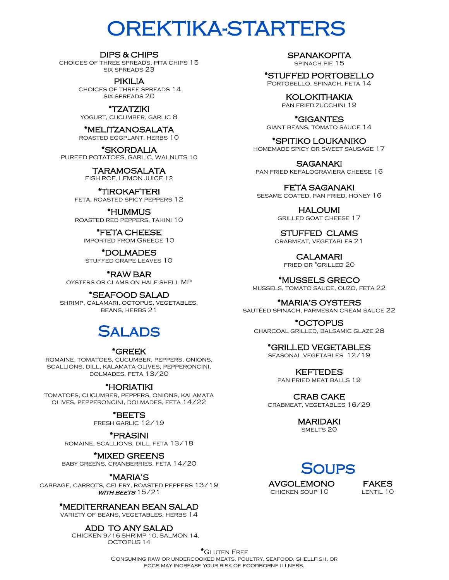# OREKTIKA-STARTERS

#### DIPS & CHIPS

choices of three spreads, pita chips 15 six spreads 23

> PIKILIA choices of three spreads 14 six spreads 20

\*TZATZIKI yogurt, cucumber, garlic 8

\*MELITZANOSALATA roasted eggplant, herbs 10

\*SKORDALIA PUREED POTATOES, GARLIC, WALNUTS 10

> TARAMOSALATA FISH ROE, LEMON JUICE 12

\*TIROKAFTERI feta, roasted spicy peppers 12

\*HUMMUS roasted red peppers, tahini 10

\*FETA CHEESE imported from Greece 10

\*DOLMADES stuffed grape leaves 10

\*RAW BAR oysters or clams on half shell MP

\*SEAFOOD SALAD shrimp, calamari, octopus, vegetables, beans, herbs 21

## SAI ADS

#### \*GREEK

romaine, tomatoes, cucumber, peppers, onions, scallions, dill, kalamata olives, pepperoncini, dolmades, feta 13/20

#### \*HORIATIKI

tomatoes, cucumber, peppers, onions, kalamata olives, pepperoncini, dolmades, feta 14/22

\*BEETS

fresh garlic 12/19

\*PRASINI

romaine, scallions, dill, feta 13/18

\*MIXED GREENS

baby greens, cranberries, feta 14/20

#### \*MARIA'S

cabbage, carrots, celery, roasted peppers 13/19  $WITH$  BEETS 15/21

\*MEDITERRANEAN BEAN SALAD

variety of beans, vegetables, herbs 14

ADD TO ANY SALAD

 CHICKEN 9/16 SHRIMP 10, SALMON 14, OCTOPUS 14

**SPANAKOPITA** 

spinach pie 15

\*STUFFED PORTOBELLO Portobello, spinach, feta 14

> KOLOKITHAKIA pan fried zucchini 19

\*GIGANTES giant beans, tomato sauce 14

\*SPITIKO LOUKANIKO homemade spicy or sweet sausage 17

**SAGANAKI** pan fried kefalograviera cheese 16

FETA SAGANAKI sesame coated, pan fried, honey 16

> HALOUMI grilled goat cheese 17

STUFFED CLAMS crabmeat, vegetables 21

CALAMARI

fried or \*grilled 20

\*MUSSELS GRECO mussels, tomato sauce, ouzo, feta 22

\*MARIA'S OYSTERS sautéed spinach, parmesan cream sauce 22

\*OCTOPUS charcoal grilled, balsamic glaze 28

\*GRILLED VEGETABLES

seasonal vegetables 12/19

KEFTEDES pan fried meat balls 19

CRAB CAKE crabmeat, vegetables 16/29

> MARIDAKI SMELTS<sub>20</sub>

**SOUPS** 

AVGOLEMONO FAKES chicken soup 10 lentil 10

\*Gluten Free Consuming raw or undercooked meats, poultry, seafood, shellfish, or eggs may increase your risk of foodborne illness.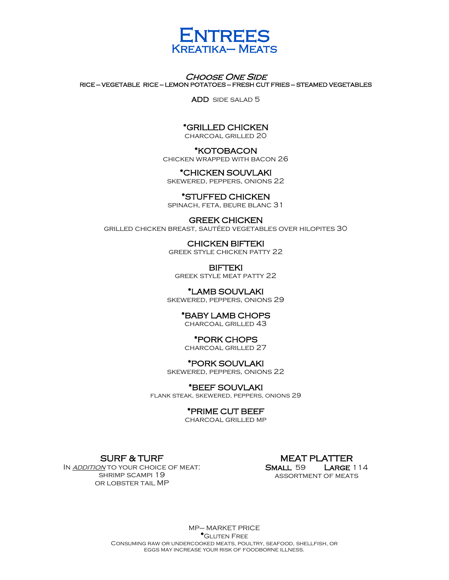

#### **CHOOSE ONE SIDE** RICE — VEGETABLE RICE — LEMON POTATOES — FRESH CUT FRIES — STEAMED VEGETABLES

ADD side salad 5

#### \*GRILLED CHICKEN

charcoal grilled 20

#### \*KOTOBACON

chicken wrapped with bacon 26

#### \*CHICKEN SOUVLAKI

skewered, peppers, onions 22

### \*STUFFED CHICKEN

spinach, feta, beure blanc 31

#### GREEK CHICKEN grilled chicken breast, sautéed vegetables over hilopites 30

CHICKEN BIFTEKI greek style chicken patty 22

BIFTEKI greek style meat patty 22

#### \*LAMB SOUVLAKI

skewered, peppers, onions 29

#### \*BABY LAMB CHOPS

charcoal grilled 43

#### \*PORK CHOPS

charcoal grilled 27

#### \*PORK SOUVLAKI

skewered, peppers, onions 22

#### \*BEEF SOUVLAKI

flank steak, skewered, peppers, onions 29

#### \*PRIME CUT BEEF

charcoal grilled mp

#### SURF & TURF

IN ADDITION TO YOUR CHOICE OF MEAT: shrimp scampi 19 or lobster tail MP

#### MEAT PLATTER SMALL 59 LARGE 114 assortment of meats

MP– MARKET PRICE \*Gluten Free Consuming raw or undercooked meats, poultry, seafood, shellfish, or eggs may increase your risk of foodborne illness.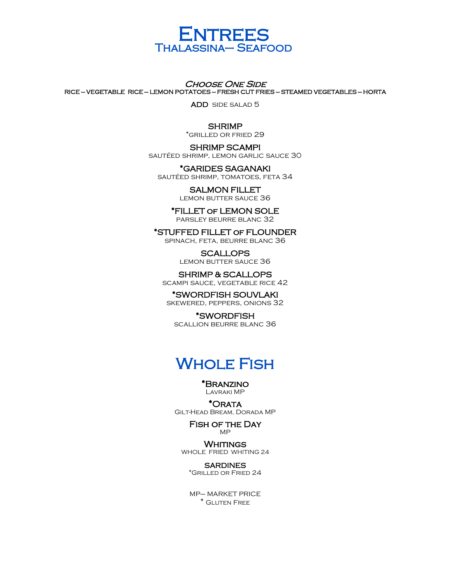

**CHOOSE ONE SIDE** RICE — VEGETABLE RICE — LEMON POTATOES — FRESH CUT FRIES — STEAMED VEGETABLES — HORTA

ADD side salad 5

#### **SHRIMP**

\*grilled or fried 29

#### SHRIMP SCAMPI

sautéed shrimp, lemon garlic sauce 30

\*GARIDES SAGANAKI sautéed shrimp, tomatoes, feta 34

SALMON FILLET

lemon butter sauce 36

#### \*FILLET of LEMON SOLE

parsley beurre blanc 32

\*STUFFED FILLET of FLOUNDER spinach, feta, beurre blanc 36

> SCALLOPS lemon butter sauce 36

SHRIMP & SCALLOPS scampi sauce, vegetable rice 42

\*SWORDFISH SOUVLAKI skewered, peppers, onions 32

\*SWORDFISH scallion beurre blanc 36

### **WHOLE FISH**

\*Branzino Lavraki MP

\*Orata Gilt-Head Bream, Dorada MP

#### Fish of the Day MP

**WHITINGS** WHOLE FRIED WHITING 24

**SARDINES** \*Grilled or Fried 24

MP– MARKET PRICE \* Gluten Free